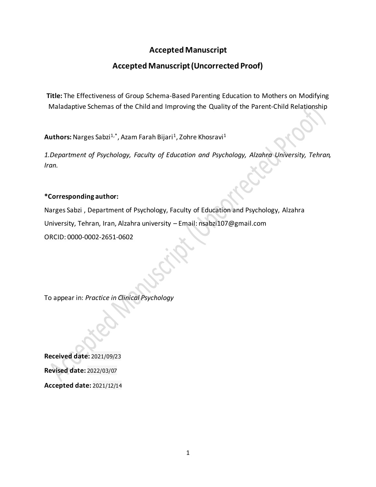# **Accepted Manuscript**

# **Accepted Manuscript (Uncorrected Proof)**

**Title:** The Effectiveness of Group Schema-Based Parenting Education to Mothers on Modifying Maladaptive Schemas of the Child and Improving the Quality of the Parent-Child Relationship

**Authors:** Narges Sabzi<sup>1,\*</sup>, Azam Farah Bijari<sup>1</sup>, Zohre Khosravi<sup>1</sup>

*1.Department of Psychology, Faculty of Education and Psychology, Alzahra University, Tehran, Iran.*

### **\*Corresponding author:**

[Narges Sabzi](https://jpcp.uswr.ac.ir/search.php?slc_lang=en&sid=1&auth=Sabzi) , Department of Psychology, Faculty of Education and Psychology, Alzahra University, Tehran, Iran, Alzahra university – Email: nsabzi107@gmail.com ORCID: 0000-0002-2651-0602

To appear in: *Practice in Clinical Psychology*

**Received date:** 2021/09/23 **Revised date:** 2022/03/07 **Accepted date:** 2021/12/14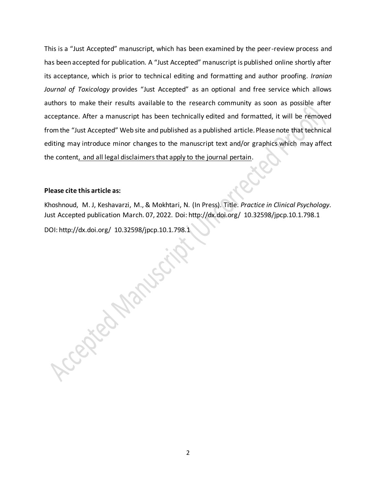This is a "Just Accepted" manuscript, which has been examined by the peer-review process and has been accepted for publication. A "Just Accepted" manuscript is published online shortly after its acceptance, which is prior to technical editing and formatting and author proofing. *Iranian Journal of Toxicology* provides "Just Accepted" as an optional and free service which allows authors to make their results available to the research community as soon as possible after acceptance. After a manuscript has been technically edited and formatted, it will be removed from the "Just Accepted" Web site and published as a published article. Please note that technical editing may introduce minor changes to the manuscript text and/or graphics which may affect the content, and all legal disclaimers that apply to the journal pertain.

### **Please cite this article as:**

Khoshnoud, M. J, Keshavarzi, M., & Mokhtari, N. (In Press). Title. *Practice in Clinical Psychology.*  Just Accepted publication March. 07, 2022. Doi: http://dx.doi.org/ 10.32598/jpcp.10.1.798.1

DOI: http://dx.doi.org/ 10.32598/jpcp.10.1.798.1

Accepted Marissip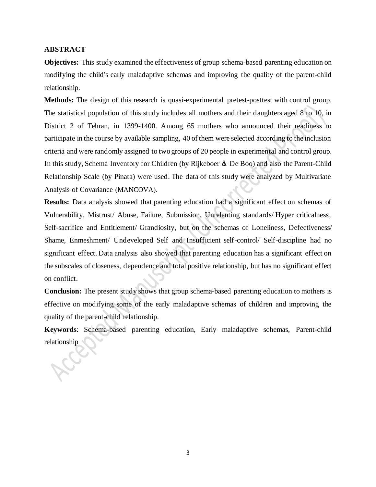### **ABSTRACT**

**Objectives:** This study examined the effectiveness of group schema-based parenting education on modifying the child's early maladaptive schemas and improving the quality of the parent-child relationship.

**Methods:** The design of this research is quasi-experimental pretest-posttest with control group. The statistical population of this study includes all mothers and their daughters aged 8 to 10, in District 2 of Tehran, in 1399-1400. Among 65 mothers who announced their readiness to participate in the course by available sampling, 40 of them were selected according to the inclusion criteria and were randomly assigned to two groups of 20 people in experimental and control group. In this study, Schema Inventory for Children (by Rijkeboer & De Boo) and also the Parent-Child Relationship Scale (by Pinata) were used. The data of this study were analyzed by Multivariate Analysis of Covariance (MANCOVA).

**Results:** Data analysis showed that parenting education had a significant effect on schemas of Vulnerability, Mistrust/ Abuse, Failure, Submission, Unrelenting standards/ Hyper criticalness, Self-sacrifice and Entitlement/ Grandiosity, but on the schemas of Loneliness, Defectiveness/ Shame, Enmeshment/ Undeveloped Self and Insufficient self-control/ Self-discipline had no significant effect. Data analysis also showed that parenting education has a significant effect on the subscales of closeness, dependence and total positive relationship, but has no significant effect on conflict.

**Conclusion:** The present study shows that group schema-based parenting education to mothers is effective on modifying some of the early maladaptive schemas of children and improving the quality of the parent-child relationship.

**Keywords**: Schema-based parenting education, Early maladaptive schemas, Parent-child relationship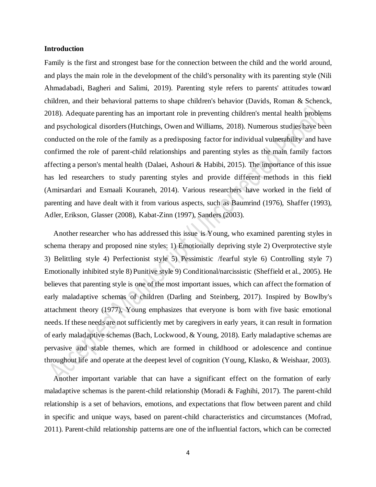### **Introduction**

Family is the first and strongest base for the connection between the child and the world around, and plays the main role in the development of the child's personality with its parenting style (Nili Ahmadabadi, Bagheri and Salimi, 2019). Parenting style refers to parents' attitudes toward children, and their behavioral patterns to shape children's behavior (Davids, Roman & Schenck, 2018). Adequate parenting has an important role in preventing children's mental health problems and psychological disorders (Hutchings, Owen and Williams, 2018). Numerous studies have been conducted on the role of the family as a predisposing factor for individual vulnerability and have confirmed the role of parent-child relationships and parenting styles as the main family factors affecting a person's mental health (Dalaei, Ashouri & Habibi, 2015). The importance of this issue has led researchers to study parenting styles and provide different methods in this field (Amirsardari and Esmaali Kouraneh, 2014). Various researchers have worked in the field of parenting and have dealt with it from various aspects, such as Baumrind (1976), Shaffer (1993), Adler, Erikson, Glasser (2008), Kabat-Zinn (1997), Sanders (2003).

 Another researcher who has addressed this issue is Young, who examined parenting styles in schema therapy and proposed nine styles: 1) Emotionally depriving style 2) Overprotective style 3) Belittling style 4) Perfectionist style 5) Pessimistic /fearful style 6) Controlling style 7) Emotionally inhibited style 8) Punitive style 9) Conditional/narcissistic (Sheffield et al., 2005). He believes that parenting style is one of the most important issues, which can affect the formation of early maladaptive schemas of children (Darling and Steinberg, 2017). Inspired by Bowlby's attachment theory (1977), Young emphasizes that everyone is born with five basic emotional needs. If these needs are not sufficiently met by caregivers in early years, it can result in formation of early maladaptive schemas (Bach, Lockwood, & Young, 2018). Early maladaptive schemas are pervasive and stable themes, which are formed in childhood or adolescence and continue throughout life and operate at the deepest level of cognition (Young, Klasko, & Weishaar, 2003).

 Another important variable that can have a significant effect on the formation of early maladaptive schemas is the parent-child relationship (Moradi & Faghihi, 2017). The parent-child relationship is a set of behaviors, emotions, and expectations that flow between parent and child in specific and unique ways, based on parent-child characteristics and circumstances (Mofrad, 2011). Parent-child relationship patterns are one of the influential factors, which can be corrected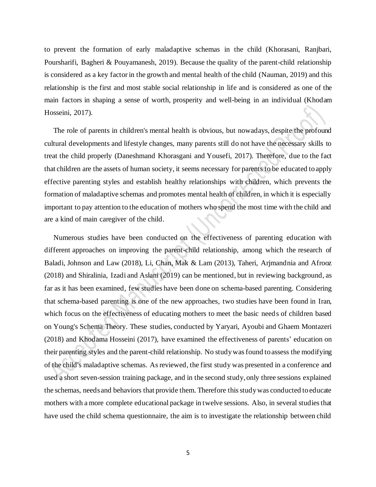to prevent the formation of early maladaptive schemas in the child (Khorasani, Ranjbari, Poursharifi, Bagheri & Pouyamanesh, 2019). Because the quality of the parent-child relationship is considered as a key factor in the growth and mental health of the child (Nauman, 2019) and this relationship is the first and most stable social relationship in life and is considered as one of the main factors in shaping a sense of worth, prosperity and well-being in an individual (Khodam Hosseini, 2017).

 The role of parents in children's mental health is obvious, but nowadays, despite the profound cultural developments and lifestyle changes, many parents still do not have the necessary skills to treat the child properly (Daneshmand Khorasgani and Yousefi, 2017). Therefore, due to the fact that children are the assets of human society, it seems necessary for parents to be educated to apply effective parenting styles and establish healthy relationships with children, which prevents the formation of maladaptive schemas and promotes mental health of children, in which it is especially important to pay attention to the education of mothers who spend the most time with the child and are a kind of main caregiver of the child.

 Numerous studies have been conducted on the effectiveness of parenting education with different approaches on improving the parent-child relationship, among which the research of Baladi, Johnson and Law (2018), Li, Chan, Mak & Lam (2013), Taheri, Arjmandnia and Afrooz (2018) and Shiralinia, Izadi and Aslani (2019) can be mentioned, but in reviewing background, as far as it has been examined, few studies have been done on schema-based parenting. Considering that schema-based parenting is one of the new approaches, two studies have been found in Iran, which focus on the effectiveness of educating mothers to meet the basic needs of children based on Young's Schema Theory. These studies, conducted by Yaryari, Ayoubi and Ghaem Montazeri (2018) and Khodama Hosseini (2017), have examined the effectiveness of parents' education on their parenting styles and the parent-child relationship. No studywas found to assess the modifying of the child's maladaptive schemas. As reviewed, the first study was presented in a conference and used a short seven-session training package, and in the second study, only three sessions explained the schemas, needs and behaviors that provide them. Therefore this study was conducted to educate mothers with a more complete educational package in twelve sessions. Also, in several studies that have used the child schema questionnaire, the aim is to investigate the relationship between child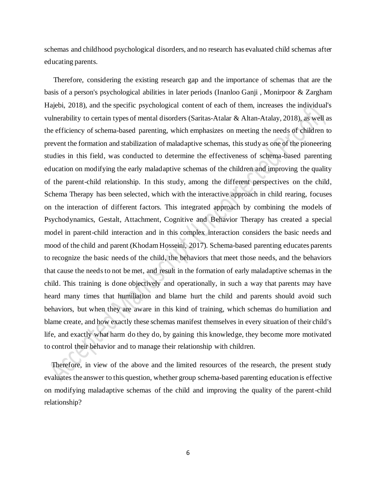schemas and childhood psychological disorders, and no research has evaluated child schemas after educating parents.

 Therefore, considering the existing research gap and the importance of schemas that are the basis of a person's psychological abilities in later periods (Inanloo Ganji , Monirpoor & Zargham Hajebi, 2018), and the specific psychological content of each of them, increases the individual's vulnerability to certain types of mental disorders (Saritas-Atalar & Altan-Atalay, 2018), as well as the efficiency of schema-based parenting, which emphasizes on meeting the needs of children to prevent the formation and stabilization of maladaptive schemas, this study as one of the pioneering studies in this field, was conducted to determine the effectiveness of schema-based parenting education on modifying the early maladaptive schemas of the children and improving the quality of the parent-child relationship. In this study, among the different perspectives on the child, Schema Therapy has been selected, which with the interactive approach in child rearing, focuses on the interaction of different factors. This integrated approach by combining the models of Psychodynamics, Gestalt, Attachment, Cognitive and Behavior Therapy has created a special model in parent-child interaction and in this complex interaction considers the basic needs and mood of the child and parent (Khodam Hosseini, 2017). Schema-based parenting educates parents to recognize the basic needs of the child, the behaviors that meet those needs, and the behaviors that cause the needs to not be met, and result in the formation of early maladaptive schemas in the child. This training is done objectively and operationally, in such a way that parents may have heard many times that humiliation and blame hurt the child and parents should avoid such behaviors, but when they are aware in this kind of training, which schemas do humiliation and blame create, and how exactly these schemas manifest themselves in every situation of their child's life, and exactly what harm do they do, by gaining this knowledge, they become more motivated to control their behavior and to manage their relationship with children.

 Therefore, in view of the above and the limited resources of the research, the present study evaluates the answer to this question, whether group schema-based parenting education is effective on modifying maladaptive schemas of the child and improving the quality of the parent-child relationship?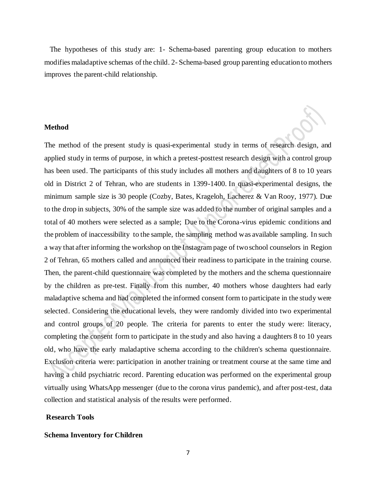The hypotheses of this study are: 1- Schema-based parenting group education to mothers modifies maladaptive schemas of the child. 2- Schema-based group parenting education to mothers improves the parent-child relationship.

### **Method**

The method of the present study is quasi-experimental study in terms of research design, and applied study in terms of purpose, in which a pretest-posttest research design with a control group has been used. The participants of this study includes all mothers and daughters of 8 to 10 years old in District 2 of Tehran, who are students in 1399-1400. In quasi-experimental designs, the minimum sample size is 30 people (Cozby, Bates, Krageloh, Lacherez & Van Rooy, 1977). Due to the drop in subjects, 30% of the sample size was added to the number of original samples and a total of 40 mothers were selected as a sample; Due to the Corona-virus epidemic conditions and the problem of inaccessibility to the sample, the sampling method was available sampling. In such a way that after informing the workshop on the Instagram page of two school counselors in Region 2 of Tehran, 65 mothers called and announced their readiness to participate in the training course. Then, the parent-child questionnaire was completed by the mothers and the schema questionnaire by the children as pre-test. Finally from this number, 40 mothers whose daughters had early maladaptive schema and had completed the informed consent form to participate in the study were selected. Considering the educational levels, they were randomly divided into two experimental and control groups of 20 people. The criteria for parents to enter the study were: literacy, completing the consent form to participate in the study and also having a daughters 8 to 10 years old, who have the early maladaptive schema according to the children's schema questionnaire. Exclusion criteria were: participation in another training or treatment course at the same time and having a child psychiatric record. Parenting education was performed on the experimental group virtually using WhatsApp messenger (due to the corona virus pandemic), and after post-test, data collection and statistical analysis of the results were performed.

### **Research Tools**

#### **Schema Inventory for Children**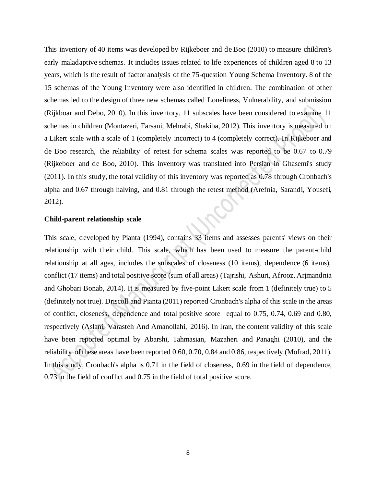This inventory of 40 items was developed by Rijkeboer and de Boo (2010) to measure children's early maladaptive schemas. It includes issues related to life experiences of children aged 8 to 13 years, which is the result of factor analysis of the 75-question Young Schema Inventory. 8 of the 15 schemas of the Young Inventory were also identified in children. The combination of other schemas led to the design of three new schemas called Loneliness, Vulnerability, and submission (Rijkboar and Debo, 2010). In this inventory, 11 subscales have been considered to examine 11 schemas in children (Montazeri, Farsani, Mehrabi, Shakiba, 2012). This inventory is measured on a Likert scale with a scale of 1 (completely incorrect) to 4 (completely correct). In Rijkeboer and de Boo research, the reliability of retest for schema scales was reported to be 0.67 to 0.79 (Rijkeboer and de Boo, 2010). This inventory was translated into Persian in Ghasemi's study (2011). In this study, the total validity of this inventory was reported as 0.78 through Cronbach's alpha and 0.67 through halving, and 0.81 through the retest method (Arefnia, Sarandi, Yousefi, 2012).

### **Child-parent relationship scale**

This scale, developed by Pianta (1994), contains 33 items and assesses parents' views on their relationship with their child. This scale, which has been used to measure the parent-child relationship at all ages, includes the subscales of closeness (10 items), dependence (6 items), conflict (17 items) and total positive score (sum of all areas) (Tajrishi, Ashuri, Afrooz, Arjmandnia and Ghobari Bonab, 2014). It is measured by five-point Likert scale from 1 (definitely true) to 5 (definitely not true). Driscoll and Pianta (2011) reported Cronbach's alpha of this scale in the areas of conflict, closeness, dependence and total positive score equal to 0.75, 0.74, 0.69 and 0.80, respectively (Aslani, Varasteh And Amanollahi, 2016). In Iran, the content validity of this scale have been reported optimal by Abarshi, Tahmasian, Mazaheri and Panaghi (2010), and the reliability of these areas have been reported 0.60, 0.70, 0.84 and 0.86, respectively (Mofrad, 2011). In this study, Cronbach's alpha is 0.71 in the field of closeness, 0.69 in the field of dependence, 0.73 in the field of conflict and 0.75 in the field of total positive score.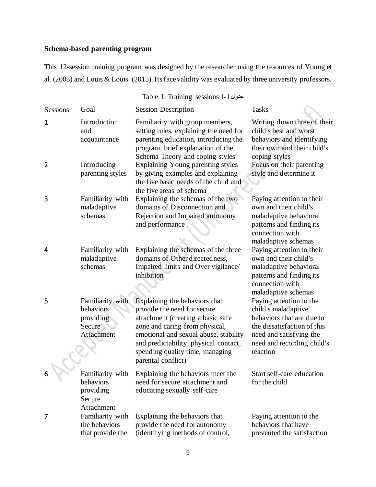## **Schema-based parenting program**

This 12-session training program was designed by the researcher using the resources of Young et al. (2003) and Louis & Louis. (2015). Its face validity was evaluated by three university professors.

| Sessions                       | Goal                                                               | <b>Session Description</b>                                                                                                                                                                                                                                                     | <b>Tasks</b>                                                                                                                                                                    |  |
|--------------------------------|--------------------------------------------------------------------|--------------------------------------------------------------------------------------------------------------------------------------------------------------------------------------------------------------------------------------------------------------------------------|---------------------------------------------------------------------------------------------------------------------------------------------------------------------------------|--|
| $\mathbf{1}$<br>$\overline{2}$ | Introduction<br>and<br>acquaintance<br>Introducing                 | Familiarity with group members,<br>setting rules, explaining the need for<br>parenting education, introducing the<br>program, brief explanation of the<br>Schema Theory and coping styles<br>Explaining Young parenting styles                                                 | Writing down three of their<br>child's best and worst<br>behaviors and identifying<br>their own and their child's<br>coping styles<br>Focus on their parenting                  |  |
|                                | parenting styles                                                   | by giving examples and explaining<br>the five basic needs of the child and<br>the five areas of schema                                                                                                                                                                         | style and determine it                                                                                                                                                          |  |
| 3                              | Familiarity with<br>maladaptive<br>schemas                         | Explaining the schemas of the two<br>domains of Disconnection and<br>Rejection and Impaired autonomy<br>and performance                                                                                                                                                        | Paying attention to their<br>own and their child's<br>maladaptive behavioral<br>patterns and finding its<br>connection with<br>maladaptive schemas                              |  |
| 4                              | Familiarity with<br>maladaptive<br>schemas                         | Explaining the schemas of the three<br>domains of Other directedness,<br>Impaired limits and Over vigilance/<br>inhibition                                                                                                                                                     | Paying attention to their<br>own and their child's<br>maladaptive behavioral<br>patterns and finding its<br>connection with<br>maladaptive schemas                              |  |
| 5                              | Familiarity with<br>behaviors<br>providing<br>Secure<br>Attachment | Explaining the behaviors that<br>provide the need for secure<br>attachment (creating a basic safe<br>zone and caring from physical,<br>emotional and sexual abuse, stability<br>and predictability, physical contact,<br>spending quality time, managing<br>parental conflict) | Paying attention to the<br>child's maladaptive<br>behaviors that are due to<br>the dissatisfaction of this<br>need and satisfying the<br>need and recording child's<br>reaction |  |
| 6                              | Familiarity with<br>behaviors<br>providing<br>Secure<br>Attachment | Explaining the behaviors meet the<br>need for secure attachment and<br>educating sexually self-care                                                                                                                                                                            | Start self-care education<br>for the child                                                                                                                                      |  |
| 7                              | Familiarity with<br>the behaviors<br>that provide the              | Explaining the behaviors that<br>provide the need for autonomy<br>(identifying methods of control,                                                                                                                                                                             | Paying attention to the<br>behaviors that have<br>prevented the satisfaction                                                                                                    |  |

|  |  | Table 1. Training sessions 1-1 + 4 |  |  |  |
|--|--|------------------------------------|--|--|--|
|--|--|------------------------------------|--|--|--|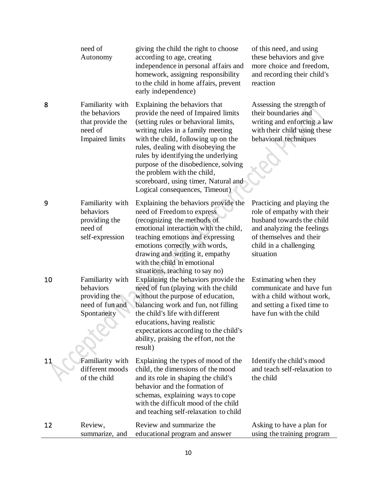|    | need of<br>Autonomy                                                                        | giving the child the right to choose<br>according to age, creating<br>independence in personal affairs and<br>homework, assigning responsibility<br>to the child in home affairs, prevent<br>early independence)                                                                                                                                                                                                       | of this need, and using<br>these behaviors and give<br>more choice and freedom,<br>and recording their child's<br>reaction                                                            |
|----|--------------------------------------------------------------------------------------------|------------------------------------------------------------------------------------------------------------------------------------------------------------------------------------------------------------------------------------------------------------------------------------------------------------------------------------------------------------------------------------------------------------------------|---------------------------------------------------------------------------------------------------------------------------------------------------------------------------------------|
| 8  | Familiarity with<br>the behaviors<br>that provide the<br>need of<br><b>Impaired limits</b> | Explaining the behaviors that<br>provide the need of Impaired limits<br>(setting rules or behavioral limits,<br>writing rules in a family meeting<br>with the child, following up on the<br>rules, dealing with disobeying the<br>rules by identifying the underlying<br>purpose of the disobedience, solving<br>the problem with the child,<br>scoreboard, using timer, Natural and<br>Logical consequences, Timeout) | Assessing the strength of<br>their boundaries and<br>writing and enforcing a law<br>with their child using these<br>behavioral techniques                                             |
| 9  | Familiarity with<br>behaviors<br>providing the<br>need of<br>self-expression               | Explaining the behaviors provide the<br>need of Freedom to express<br>(recognizing the methods of<br>emotional interaction with the child,<br>teaching emotions and expressing<br>emotions correctly with words,<br>drawing and writing it, empathy<br>with the child in emotional<br>situations, teaching to say no)                                                                                                  | Practicing and playing the<br>role of empathy with their<br>husband towards the child<br>and analyzing the feelings<br>of themselves and their<br>child in a challenging<br>situation |
| 10 | Familiarity with<br>behaviors<br>providing the<br>need of fun and<br>Spontaneity           | Explaining the behaviors provide the<br>need of fun (playing with the child<br>without the purpose of education,<br>balancing work and fun, not filling<br>the child's life with different<br>educations, having realistic<br>expectations according to the child's<br>ability, praising the effort, not the<br>result)                                                                                                | Estimating when they<br>communicate and have fun<br>with a child without work,<br>and setting a fixed time to<br>have fun with the child                                              |
| 11 | Familiarity with<br>different moods<br>of the child                                        | Explaining the types of mood of the<br>child, the dimensions of the mood<br>and its role in shaping the child's<br>behavior and the formation of<br>schemas, explaining ways to cope<br>with the difficult mood of the child<br>and teaching self-relaxation to child                                                                                                                                                  | Identify the child's mood<br>and teach self-relaxation to<br>the child                                                                                                                |
| 12 | Review,<br>summarize, and                                                                  | Review and summarize the<br>educational program and answer                                                                                                                                                                                                                                                                                                                                                             | Asking to have a plan for<br>using the training program                                                                                                                               |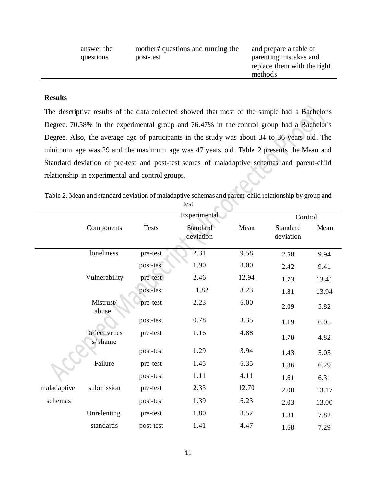| answer the<br>questions | mothers' questions and running the<br>post-test | and prepare a table of<br>parenting mistakes and<br>replace them with the right<br>methods |
|-------------------------|-------------------------------------------------|--------------------------------------------------------------------------------------------|
|                         |                                                 |                                                                                            |

### **Results**

The descriptive results of the data collected showed that most of the sample had a Bachelor's Degree. 70.58% in the experimental group and 76.47% in the control group had a Bachelor's Degree. Also, the average age of participants in the study was about 34 to 36 years old. The minimum age was 29 and the maximum age was 47 years old. Table 2 presents the Mean and Standard deviation of pre-test and post-test scores of maladaptive schemas and parent-child relationship in experimental and control groups**.**

| Table 2. Mean and standard deviation of maladaptive schemas and parent-child relationship by group and |  |
|--------------------------------------------------------------------------------------------------------|--|
| test                                                                                                   |  |

|             |                         |              | Experimental          |       | Control               |       |
|-------------|-------------------------|--------------|-----------------------|-------|-----------------------|-------|
|             | Components              | <b>Tests</b> | Standard<br>deviation | Mean  | Standard<br>deviation | Mean  |
|             | loneliness              | pre-test     | 2.31                  | 9.58  | 2.58                  | 9.94  |
|             |                         | post-test    | 1.90                  | 8.00  | 2.42                  | 9.41  |
|             | Vulnerability           | pre-test     | 2.46                  | 12.94 | 1.73                  | 13.41 |
|             |                         | post-test    | 1.82                  | 8.23  | 1.81                  | 13.94 |
|             | Mistrust/<br>abuse      | pre-test     | 2.23                  | 6.00  | 2.09                  | 5.82  |
|             |                         | post-test    | 0.78                  | 3.35  | 1.19                  | 6.05  |
|             | Defectivenes<br>s/shame | pre-test     | 1.16                  | 4.88  | 1.70                  | 4.82  |
|             |                         | post-test    | 1.29                  | 3.94  | 1.43                  | 5.05  |
|             | Failure                 | pre-test     | 1.45                  | 6.35  | 1.86                  | 6.29  |
|             |                         | post-test    | 1.11                  | 4.11  | 1.61                  | 6.31  |
| maladaptive | submission              | pre-test     | 2.33                  | 12.70 | 2.00                  | 13.17 |
| schemas     |                         | post-test    | 1.39                  | 6.23  | 2.03                  | 13.00 |
|             | Unrelenting             | pre-test     | 1.80                  | 8.52  | 1.81                  | 7.82  |
|             | standards               | post-test    | 1.41                  | 4.47  | 1.68                  | 7.29  |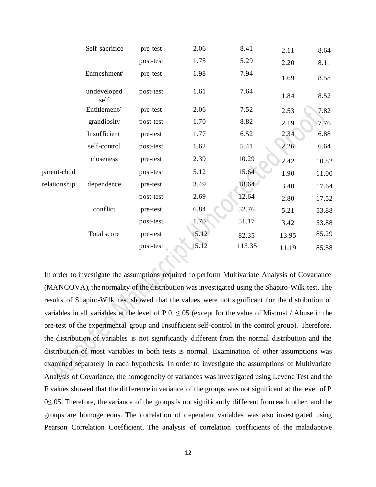|              | Self-sacrifice      | pre-test  | 2.06  | 8.41   | 2.11  | 8.64  |
|--------------|---------------------|-----------|-------|--------|-------|-------|
|              |                     | post-test | 1.75  | 5.29   | 2.20  | 8.11  |
|              | Enmeshment/         | pre-test  | 1.98  | 7.94   | 1.69  | 8.58  |
|              | undeveloped<br>self | post-test | 1.61  | 7.64   | 1.84  | 8.52  |
|              | Entitlement/        | pre-test  | 2.06  | 7.52   | 2.53  | 7.82  |
|              | grandiosity         | post-test | 1.70  | 8.82   | 2.19  | 7.76  |
|              | Insufficient        | pre-test  | 1.77  | 6.52   | 2.34  | 6.88  |
|              | self-control        | post-test | 1.62  | 5.41   | 2.26  | 6.64  |
|              | closeness           | pre-test  | 2.39  | 10.29  | 2.42  | 10.82 |
| parent-child |                     | post-test | 5.12  | 15.64  | 1.90  | 11.00 |
| relationship | dependence          | pre-test  | 3.49  | 18.64  | 3.40  | 17.64 |
|              |                     | post-test | 2.69  | 12.64  | 2.80  | 17.52 |
|              | conflict            | pre-test  | 6.84  | 52.76  | 5.21  | 53.88 |
|              |                     | post-test | 1.70  | 51.17  | 3.42  | 53.88 |
|              | Total score         | pre-test  | 15.12 | 82.35  | 13.95 | 85.29 |
|              |                     | post-test | 15.12 | 113.35 | 11.19 | 85.58 |

In order to investigate the assumptions required to perform Multivariate Analysis of Covariance (MANCOVA), the normality of the distribution was investigated using the Shapiro-Wilk test. The results of Shapiro-Wilk test showed that the values were not significant for the distribution of variables in all variables at the level of P  $0. \le 05$  (except for the value of Mistrust / Abuse in the pre-test of the experimental group and Insufficient self-control in the control group). Therefore, the distribution of variables is not significantly different from the normal distribution and the distribution of most variables in both tests is normal. Examination of other assumptions was examined separately in each hypothesis. In order to investigate the assumptions of Multivariate Analysis of Covariance, the homogeneity of variances was investigated using Levene Test and the F values showed that the difference in variance of the groups was not significant at the level of P 0≤.05. Therefore, the variance of the groups is not significantly different from each other, and the groups are homogeneous. The correlation of dependent variables was also investigated using Pearson Correlation Coefficient. The analysis of correlation coefficients of the maladaptive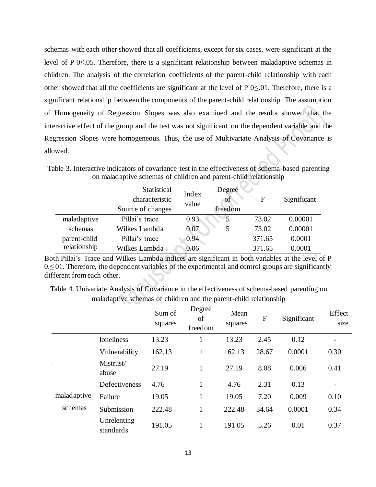schemas with each other showed that all coefficients, except for six cases, were significant at the level of P 0≤.05. Therefore, there is a significant relationship between maladaptive schemas in children. The analysis of the correlation coefficients of the parent-child relationship with each other showed that all the coefficients are significant at the level of P  $0 \le 01$ . Therefore, there is a significant relationship between the components of the parent-child relationship. The assumption of Homogeneity of Regression Slopes was also examined and the results showed that the interactive effect of the group and the test was not significant on the dependent variable and the Regression Slopes were homogeneous. Thus, the use of Multivariate Analysis of Covariance is allowed.

|              | Statistical<br>characteristic<br>Source of changes | Index<br>value | Degree<br>ΟĪ<br>freedom | F      | Significant |
|--------------|----------------------------------------------------|----------------|-------------------------|--------|-------------|
| maladaptive  | Pillai's trace                                     | 0.93           | 5                       | 73.02  | 0.00001     |
| schemas      | Wilkes Lambda                                      | 0.07           | 5                       | 73.02  | 0.00001     |
| parent-child | Pillai's trace                                     | 0.94           |                         | 371.65 | 0.0001      |
| relationship | Wilkes Lambda                                      | 0.06           |                         | 371.65 | 0.0001      |

Table 3. Interactive indicators of covariance test in the effectiveness of schema-based parenting on maladaptive schemas of children and parent-child relationship

Both Pillai's Trace and Wilkes Lambda indices are significant in both variables at the level of P  $0.501$ . Therefore, the dependent variables of the experimental and control groups are significantly different from each other.

Table 4. Univariate Analysis of Covariance in the effectiveness of schema-based parenting on maladaptive schemas of children and the parent-child relationship

|             |                          | Sum of<br>squares | Degree<br>of<br>freedom | Mean<br>squares | ${\bf F}$ | Significant | Effect<br>size |
|-------------|--------------------------|-------------------|-------------------------|-----------------|-----------|-------------|----------------|
|             | loneliness               | 13.23             | 1                       | 13.23           | 2.45      | 0.12        |                |
|             | Vulnerability            | 162.13            | $\mathbf{1}$            | 162.13          | 28.67     | 0.0001      | 0.30           |
|             | Mistrust/<br>abuse       | 27.19             | 1                       | 27.19           | 8.08      | 0.006       | 0.41           |
|             | Defectiveness            | 4.76              | 1                       | 4.76            | 2.31      | 0.13        |                |
| maladaptive | Failure                  | 19.05             | $\mathbf{1}$            | 19.05           | 7.20      | 0.009       | 0.10           |
| schemas     | Submission               | 222.48            | 1                       | 222.48          | 34.64     | 0.0001      | 0.34           |
|             | Unrelenting<br>standards | 191.05            | 1                       | 191.05          | 5.26      | 0.01        | 0.37           |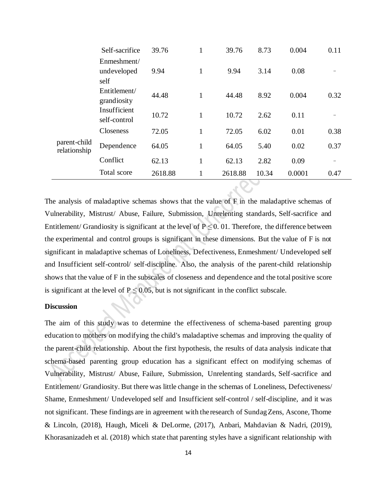|                              | Self-sacrifice                     | 39.76   | $\mathbf{1}$ | 39.76   | 8.73  | 0.004  | 0.11 |
|------------------------------|------------------------------------|---------|--------------|---------|-------|--------|------|
|                              | Enmeshment/<br>undeveloped<br>self | 9.94    | $\mathbf{1}$ | 9.94    | 3.14  | 0.08   |      |
|                              | Entitlement/<br>grandiosity        | 44.48   | 1            | 44.48   | 8.92  | 0.004  | 0.32 |
|                              | Insufficient<br>self-control       | 10.72   | 1            | 10.72   | 2.62  | 0.11   |      |
|                              | <b>Closeness</b>                   | 72.05   | $\mathbf{1}$ | 72.05   | 6.02  | 0.01   | 0.38 |
| parent-child<br>relationship | Dependence                         | 64.05   | $\mathbf{1}$ | 64.05   | 5.40  | 0.02   | 0.37 |
|                              | Conflict                           | 62.13   | $\mathbf{1}$ | 62.13   | 2.82  | 0.09   |      |
|                              | Total score                        | 2618.88 | $\mathbf{1}$ | 2618.88 | 10.34 | 0.0001 | 0.47 |

The analysis of maladaptive schemas shows that the value of F in the maladaptive schemas of Vulnerability, Mistrust/ Abuse, Failure, Submission, Unrelenting standards, Self-sacrifice and Entitlement/ Grandiosity is significant at the level of  $P \le 0$ . 01. Therefore, the difference between the experimental and control groups is significant in these dimensions. But the value of F is not significant in maladaptive schemas of Loneliness, Defectiveness, Enmeshment/ Undeveloped self and Insufficient self-control/ self-discipline. Also, the analysis of the parent-child relationship shows that the value of F in the subscales of closeness and dependence and the total positive score is significant at the level of  $P \le 0.05$ , but is not significant in the conflict subscale.

### **Discussion**

The aim of this study was to determine the effectiveness of schema-based parenting group education to mothers on modifying the child's maladaptive schemas and improving the quality of the parent-child relationship. About the first hypothesis, the results of data analysis indicate that schema-based parenting group education has a significant effect on modifying schemas of Vulnerability, Mistrust/ Abuse, Failure, Submission, Unrelenting standards, Self-sacrifice and Entitlement/ Grandiosity. But there was little change in the schemas of Loneliness, Defectiveness/ Shame, Enmeshment/ Undeveloped self and Insufficient self-control / self-discipline, and it was not significant. These findings are in agreement with the research of Sundag Zens, Ascone, Thome & Lincoln, (2018), Haugh, Miceli & DeLorme, (2017), Anbari, Mahdavian & Nadri, (2019), Khorasanizadeh et al. (2018) which state that parenting styles have a significant relationship with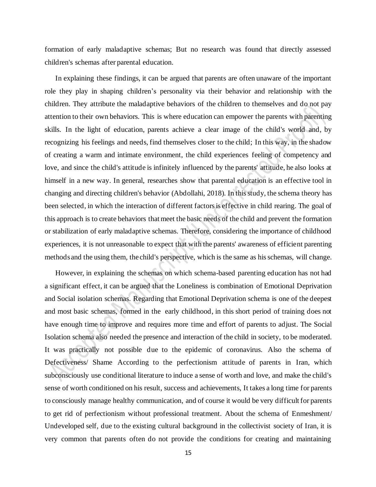formation of early maladaptive schemas; But no research was found that directly assessed children's schemas after parental education.

 In explaining these findings, it can be argued that parents are often unaware of the important role they play in shaping children's personality via their behavior and relationship with the children. They attribute the maladaptive behaviors of the children to themselves and do not pay attention to their own behaviors. This is where education can empower the parents with parenting skills. In the light of education, parents achieve a clear image of the child's world and, by recognizing his feelings and needs, find themselves closer to the child; In this way, in the shadow of creating a warm and intimate environment, the child experiences feeling of competency and love, and since the child's attitude is infinitely influenced by the parents' attitude, he also looks at himself in a new way. In general, researches show that parental education is an effective tool in changing and directing children's behavior (Abdollahi, 2018). In this study, the schema theory has been selected, in which the interaction of different factors is effective in child rearing. The goal of this approach is to create behaviors that meet the basic needs of the child and prevent the formation or stabilization of early maladaptive schemas. Therefore, considering the importance of childhood experiences, it is not unreasonable to expect that with the parents' awareness of efficient parenting methods and the using them, the child's perspective, which is the same as his schemas, will change.

 However, in explaining the schemas on which schema-based parenting education has not had a significant effect, it can be argued that the Loneliness is combination of Emotional Deprivation and Social isolation schemas. Regarding that Emotional Deprivation schema is one of the deepest and most basic schemas, formed in the early childhood, in this short period of training does not have enough time to improve and requires more time and effort of parents to adjust. The Social Isolation schema also needed the presence and interaction of the child in society, to be moderated. It was practically not possible due to the epidemic of coronavirus. Also the schema of Defectiveness/ Shame According to the perfectionism attitude of parents in Iran, which subconsciously use conditional literature to induce a sense of worth and love, and make the child's sense of worth conditioned on his result, success and achievements, It takes a long time for parents to consciously manage healthy communication, and of course it would be very difficult for parents to get rid of perfectionism without professional treatment. About the schema of Enmeshment/ Undeveloped self, due to the existing cultural background in the collectivist society of Iran, it is very common that parents often do not provide the conditions for creating and maintaining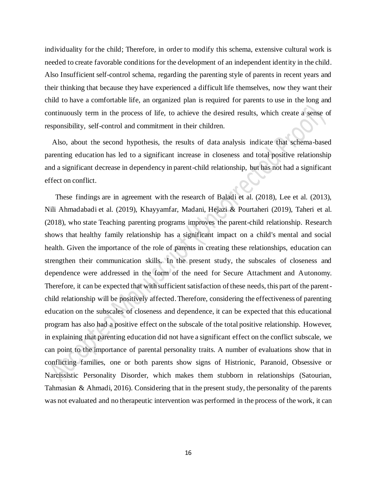individuality for the child; Therefore, in order to modify this schema, extensive cultural work is needed to create favorable conditions for the development of an independent identity in the child. Also Insufficient self-control schema, regarding the parenting style of parents in recent years and their thinking that because they have experienced a difficult life themselves, now they want their child to have a comfortable life, an organized plan is required for parents to use in the long and continuously term in the process of life, to achieve the desired results, which create a sense of responsibility, self-control and commitment in their children.

 Also, about the second hypothesis, the results of data analysis indicate that schema-based parenting education has led to a significant increase in closeness and total positive relationship and a significant decrease in dependency in parent-child relationship, but has not had a significant effect on conflict.

 These findings are in agreement with the research of Baladi et al. (2018), Lee et al. (2013), Nili Ahmadabadi et al. (2019), Khayyamfar, Madani, Hejazi & Pourtaheri (2019), Taheri et al. (2018), who state Teaching parenting programs improves the parent-child relationship. Research shows that healthy family relationship has a significant impact on a child's mental and social health. Given the importance of the role of parents in creating these relationships, education can strengthen their communication skills. In the present study, the subscales of closeness and dependence were addressed in the form of the need for Secure Attachment and Autonomy. Therefore, it can be expected that with sufficient satisfaction of these needs, this part of the parentchild relationship will be positively affected. Therefore, considering the effectiveness of parenting education on the subscales of closeness and dependence, it can be expected that this educational program has also had a positive effect on the subscale of the total positive relationship. However, in explaining that parenting education did not have a significant effect on the conflict subscale, we can point to the importance of parental personality traits. A number of evaluations show that in conflicting families, one or both parents show signs of Histrionic, Paranoid, Obsessive or Narcissistic Personality Disorder, which makes them stubborn in relationships (Satourian, Tahmasian & Ahmadi, 2016). Considering that in the present study, the personality of the parents was not evaluated and no therapeutic intervention was performed in the process of the work, it can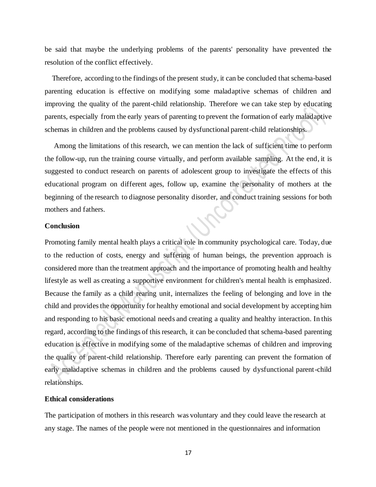be said that maybe the underlying problems of the parents' personality have prevented the resolution of the conflict effectively.

 Therefore, according to the findings of the present study, it can be concluded that schema-based parenting education is effective on modifying some maladaptive schemas of children and improving the quality of the parent-child relationship. Therefore we can take step by educating parents, especially from the early years of parenting to prevent the formation of early maladaptive schemas in children and the problems caused by dysfunctional parent-child relationships.

 Among the limitations of this research, we can mention the lack of sufficient time to perform the follow-up, run the training course virtually, and perform available sampling. At the end, it is suggested to conduct research on parents of adolescent group to investigate the effects of this educational program on different ages, follow up, examine the personality of mothers at the beginning of the research to diagnose personality disorder, and conduct training sessions for both mothers and fathers.

### **Conclusion**

Promoting family mental health plays a critical role in community psychological care. Today, due to the reduction of costs, energy and suffering of human beings, the prevention approach is considered more than the treatment approach and the importance of promoting health and healthy lifestyle as well as creating a supportive environment for children's mental health is emphasized. Because the family as a child rearing unit, internalizes the feeling of belonging and love in the child and provides the opportunity for healthy emotional and social development by accepting him and responding to his basic emotional needs and creating a quality and healthy interaction. In this regard, according to the findings of this research, it can be concluded that schema-based parenting education is effective in modifying some of the maladaptive schemas of children and improving the quality of parent-child relationship. Therefore early parenting can prevent the formation of early maladaptive schemas in children and the problems caused by dysfunctional parent-child relationships.

### **Ethical considerations**

The participation of mothers in this research was voluntary and they could leave the research at any stage. The names of the people were not mentioned in the questionnaires and information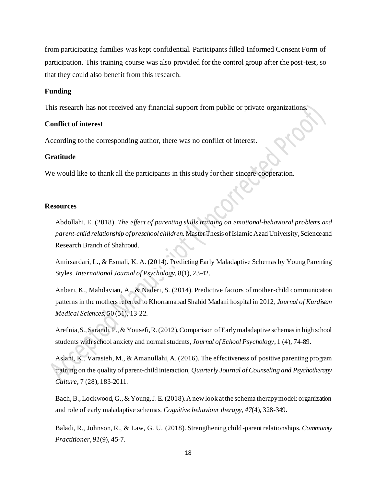from participating families was kept confidential. Participants filled Informed Consent Form of participation. This training course was also provided for the control group after the post-test, so that they could also benefit from this research.

### **Funding**

This research has not received any financial support from public or private organizations.

### **Conflict of interest**

According to the corresponding author, there was no conflict of interest.

### **Gratitude**

We would like to thank all the participants in this study for their sincere cooperation.

### **Resources**

Abdollahi, E. (2018). *The effect of parenting skills training on emotional-behavioral problems and parent-child relationship of preschool children.* Master Thesis of Islamic Azad University, Science and Research Branch of Shahroud.

Amirsardari, L., & Esmali, K. A. (2014). Predicting Early Maladaptive Schemas by Young Parenting Styles. *International Journal of Psychology*, 8(1), 23-42.

Anbari, K., Mahdavian, A., & Naderi, S. (2014). Predictive factors of mother-child communication patterns in the mothers referred to Khorramabad Shahid Madani hospital in 2012, *Journal of Kurdistan Medical Sciences*, 50 (51), 13-22.

Arefnia, S., Sarandi, P., & Yousefi, R. (2012). Comparison of Early maladaptive schemas in high school students with school anxiety and normal students, *Journal of School Psychology*, 1 (4), 74-89.

Aslani, K., Varasteh, M., & Amanullahi, A. (2016). The effectiveness of positive parenting program training on the quality of parent-child interaction, *Quarterly Journal of Counseling and Psychotherapy Culture*, 7 (28), 183-2011.

Bach, B., Lockwood, G., & Young, J. E. (2018). A new look at the schema therapy model: organization and role of early maladaptive schemas. *Cognitive behaviour therapy*, *47*(4), 328-349.

Baladi, R., Johnson, R., & Law, G. U. (2018). Strengthening child-parent relationships. *Community Practitioner*, *91*(9), 45-7.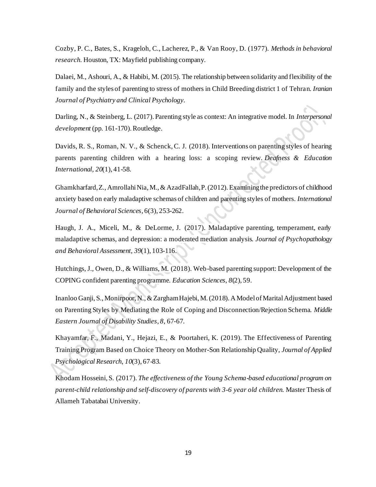Cozby, P. C., Bates, S., Krageloh, C., Lacherez, P., & Van Rooy, D. (1977). *Methods in behavioral research*. Houston, TX: Mayfield publishing company.

Dalaei, M., Ashouri, A., & Habibi, M. (2015). The relationship between solidarity and flexibility of the family and the styles of parenting to stress of mothers in Child Breeding district 1 of Tehran. *Iranian Journal of Psychiatry and Clinical Psychology*.

Darling, N., & Steinberg, L. (2017). Parenting style as context: An integrative model. In *Interpersonal development* (pp. 161-170). Routledge.

Davids, R. S., Roman, N. V., & Schenck, C. J. (2018). Interventions on parenting styles of hearing parents parenting children with a hearing loss: a scoping review. *Deafness & Education International*, *20*(1), 41-58.

Ghamkharfard, Z., Amrollahi Nia, M., & AzadFallah, P. (2012). Examining the predictors of childhood anxiety based on early maladaptive schemas of children and parenting styles of mothers. *International Journal of Behavioral Sciences*, 6(3), 253-262.

Haugh, J. A., Miceli, M., & DeLorme, J. (2017). Maladaptive parenting, temperament, early maladaptive schemas, and depression: a moderated mediation analysis. *Journal of Psychopathology and Behavioral Assessment*, *39*(1), 103-116.

Hutchings, J., Owen, D., & Williams, M. (2018). Web-based parenting support: Development of the COPING confident parenting programme. *Education Sciences*, *8*(2), 59.

Inanloo Ganji, S., Monirpoor, N., & Zargham Hajebi, M. (2018). A Model of Marital Adjustment based on Parenting Styles by Mediating the Role of Coping and Disconnection/Rejection Schema. *Middle Eastern Journal of Disability Studies*, *8*, 67-67.

Khayamfar, F., Madani, Y., Hejazi, E., & Poortaheri, K. (2019). The Effectiveness of Parenting Training Program Based on Choice Theory on Mother-Son Relationship Quality, *Journal of Applied Psychological Research*, *10*(3), 67-83.

Khodam Hosseini, S. (2017). *The effectiveness of the Young Schema-based educational program on parent-child relationship and self-discovery of parents with 3-6 year old children.* Master Thesis of Allameh Tabatabai University.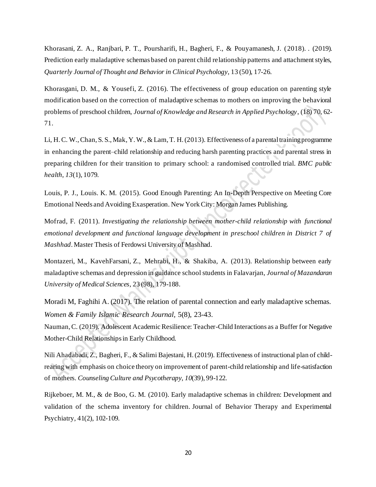Khorasani, Z. A., Ranjbari, P. T., Poursharifi, H., Bagheri, F., & Pouyamanesh, J. (2018). . (2019). Prediction early maladaptive schemas based on parent child relationship patterns and attachment styles, *Quarterly Journal of Thought and Behavior in Clinical Psychology*, 13 (50), 17-26.

Khorasgani, D. M., & Yousefi, Z. (2016). The effectiveness of group education on parenting style modification based on the correction of maladaptive schemas to mothers on improving the behavioral problems of preschool children, *Journal of Knowledge and Research in Applied Psychology*, (18) 70, 62- 71.

Li, H. C. W., Chan, S. S., Mak, Y. W., & Lam, T. H. (2013). Effectiveness of a parental training programme in enhancing the parent–child relationship and reducing harsh parenting practices and parental stress in preparing children for their transition to primary school: a randomised controlled trial. *BMC public health*, *13*(1), 1079.

Louis, P. J., Louis. K. M. (2015). Good Enough Parenting: An In-Depth Perspective on Meeting Core Emotional Needs and Avoiding Exasperation. New York City: Morgan James Publishing.

Mofrad, F. (2011). *Investigating the relationship between mother-child relationship with functional emotional development and functional language development in preschool children in District 7 of Mashhad*. Master Thesis of Ferdowsi University of Mashhad.

Montazeri, M., KavehFarsani, Z., Mehrabi, H., & Shakiba, A. (2013). Relationship between early maladaptive schemas and depression in guidance school students in Falavarjan, *Journal of Mazandaran University of Medical Sciences*, 23 (98), 179-188.

Moradi M, Faghihi A. (2017). The relation of parental connection and early maladaptive schemas. *Women & Family Islamic Research Journal,* 5(8), 23-43.

Nauman, C. (2019). Adolescent Academic Resilience: Teacher-Child Interactions as a Buffer for Negative Mother-Child Relationships in Early Childhood.

Nili Ahadabadi, Z., Bagheri, F., & Salimi Bajestani, H. (2019). Effectiveness of instructional plan of childrearing with emphasis on choice theory on improvement of parent-child relationship and life-satisfaction of mothers. *Counseling Culture and Psycotherapy*, *10*(39), 99-122.

Rijkeboer, M. M., & de Boo, G. M. (2010). Early maladaptive schemas in children: Development and validation of the schema inventory for children. Journal of Behavior Therapy and Experimental Psychiatry, 41(2), 102-109.